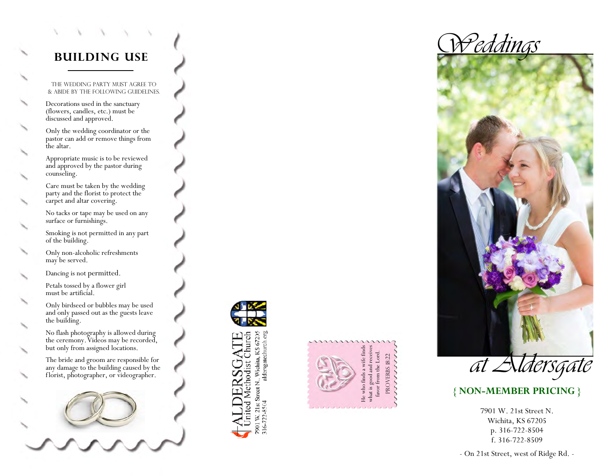### **BUILDING USE**

The wedding party must agree to & abide by the following guidelines.

Decorations used in the sanctuary (flowers, candles, etc.) must be discussed and approved.

Only the wedding coordinator or the pastor can add or remove things from the altar.

Appropriate music is to be reviewed and approved by the pastor during counseling.

Care must be taken by the wedding party and the florist to protect the carpet and altar covering.

No tacks or tape may be used on any surface or furnishings.

Smoking is not permitted in any part of the building.

Only non-alcoholic refreshments may be served.

Dancing is not permitted.

Petals tossed by a flower girl must be artificial.

Only birdseed or bubbles may be used and only passed out as the guests leave the building.

No flash photography is allowed during the ceremony. Videos may be recorded, but only from assigned locations.

The bride and groom are responsible for any damage to the building caused by the florist, photographer, or videographer.



 $\bigcup_{N=1}^{N}$  United Methodist Church<br>7901 W. 21st Street N., Wiehita, KS 67205<br>316-722-8504 aldersgatechurch.org ∽  $\frac{1}{1}$ 



# *Weddings*



### **{ NON-MEMBER PRICING }**

7901 W. 21st Street N. Wichita, KS 67205 p. 316-722-8504 f. 316-722-8509

- On 21st Street, west of Ridge Rd. -